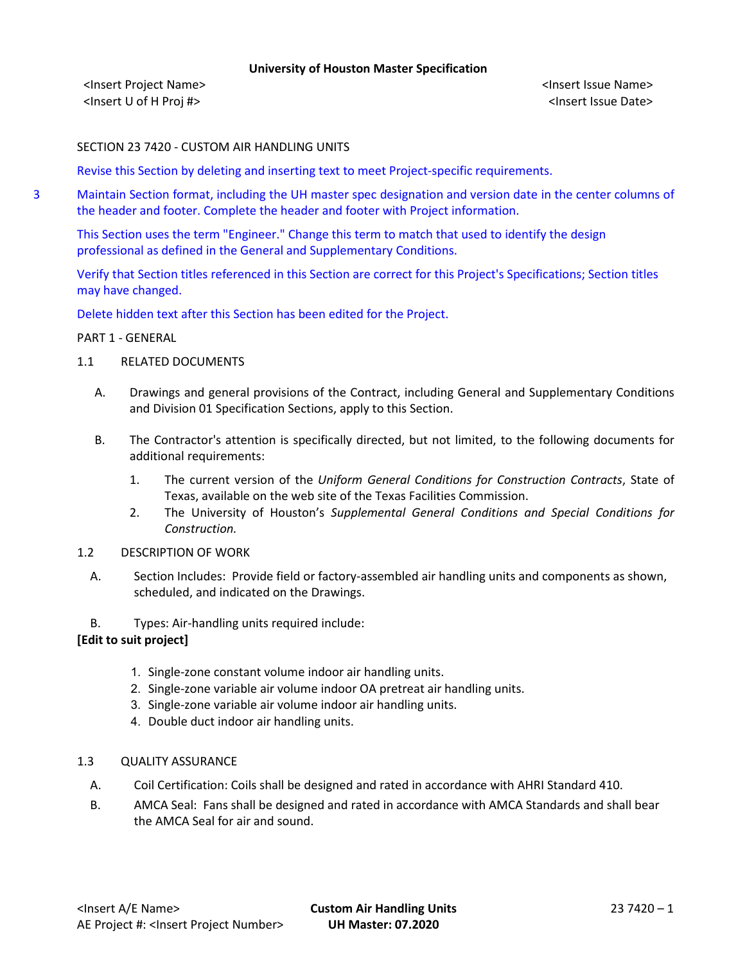<Insert Project Name> <Insert Issue Name> <Insert U of H Proj #> <Insert Issue Date>

### SECTION 23 7420 - CUSTOM AIR HANDLING UNITS

Revise this Section by deleting and inserting text to meet Project-specific requirements.

3 Maintain Section format, including the UH master spec designation and version date in the center columns of the header and footer. Complete the header and footer with Project information.

This Section uses the term "Engineer." Change this term to match that used to identify the design professional as defined in the General and Supplementary Conditions.

Verify that Section titles referenced in this Section are correct for this Project's Specifications; Section titles may have changed.

Delete hidden text after this Section has been edited for the Project.

### PART 1 - GENERAL

- 1.1 RELATED DOCUMENTS
	- A. Drawings and general provisions of the Contract, including General and Supplementary Conditions and Division 01 Specification Sections, apply to this Section.
	- B. The Contractor's attention is specifically directed, but not limited, to the following documents for additional requirements:
		- 1. The current version of the *Uniform General Conditions for Construction Contracts*, State of Texas, available on the web site of the Texas Facilities Commission.
		- 2. The University of Houston's *Supplemental General Conditions and Special Conditions for Construction.*
- 1.2 DESCRIPTION OF WORK
	- A. Section Includes: Provide field or factory-assembled air handling units and components as shown, scheduled, and indicated on the Drawings.
	- B. Types: Air-handling units required include:

# **[Edit to suit project]**

- 1. Single-zone constant volume indoor air handling units.
- 2. Single-zone variable air volume indoor OA pretreat air handling units.
- 3. Single-zone variable air volume indoor air handling units.
- 4. Double duct indoor air handling units.
- 1.3 QUALITY ASSURANCE
	- A. Coil Certification: Coils shall be designed and rated in accordance with AHRI Standard 410.
	- B. AMCA Seal: Fans shall be designed and rated in accordance with AMCA Standards and shall bear the AMCA Seal for air and sound.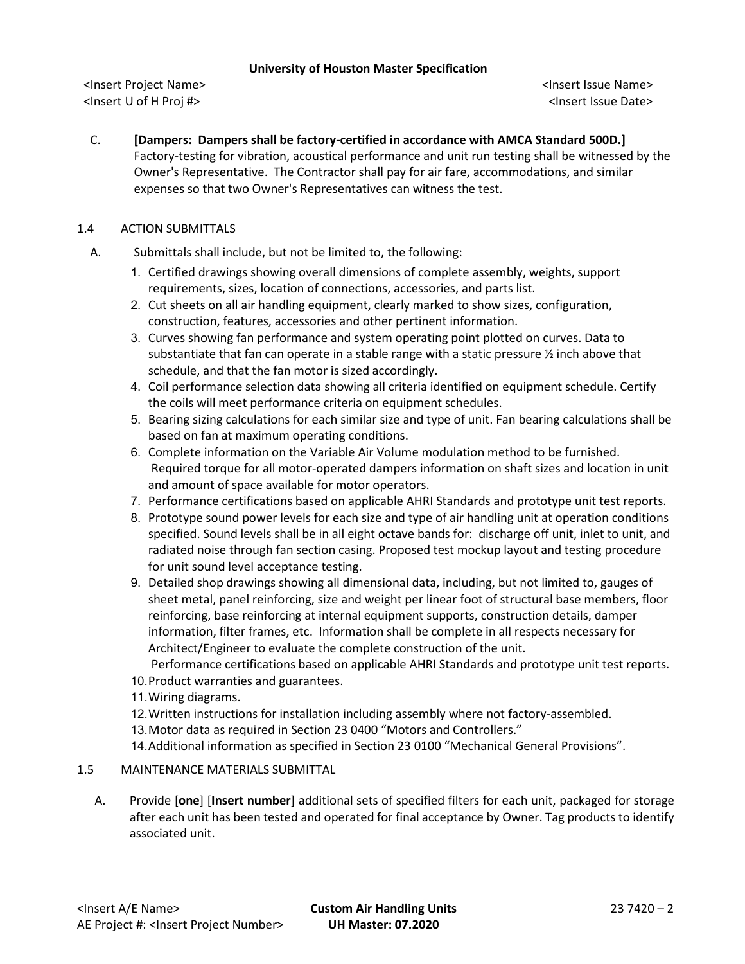<Insert Project Name> <Insert Issue Name> <Insert U of H Proj #> <Insert Issue Date>

C. **[Dampers: Dampers shall be factory-certified in accordance with AMCA Standard 500D.]** Factory-testing for vibration, acoustical performance and unit run testing shall be witnessed by the Owner's Representative. The Contractor shall pay for air fare, accommodations, and similar expenses so that two Owner's Representatives can witness the test.

# 1.4 ACTION SUBMITTALS

- A. Submittals shall include, but not be limited to, the following:
	- 1. Certified drawings showing overall dimensions of complete assembly, weights, support requirements, sizes, location of connections, accessories, and parts list.
	- 2. Cut sheets on all air handling equipment, clearly marked to show sizes, configuration, construction, features, accessories and other pertinent information.
	- 3. Curves showing fan performance and system operating point plotted on curves. Data to substantiate that fan can operate in a stable range with a static pressure  $\frac{1}{2}$  inch above that schedule, and that the fan motor is sized accordingly.
	- 4. Coil performance selection data showing all criteria identified on equipment schedule. Certify the coils will meet performance criteria on equipment schedules.
	- 5. Bearing sizing calculations for each similar size and type of unit. Fan bearing calculations shall be based on fan at maximum operating conditions.
	- 6. Complete information on the Variable Air Volume modulation method to be furnished. Required torque for all motor-operated dampers information on shaft sizes and location in unit and amount of space available for motor operators.
	- 7. Performance certifications based on applicable AHRI Standards and prototype unit test reports.
	- 8. Prototype sound power levels for each size and type of air handling unit at operation conditions specified. Sound levels shall be in all eight octave bands for: discharge off unit, inlet to unit, and radiated noise through fan section casing. Proposed test mockup layout and testing procedure for unit sound level acceptance testing.
	- 9. Detailed shop drawings showing all dimensional data, including, but not limited to, gauges of sheet metal, panel reinforcing, size and weight per linear foot of structural base members, floor reinforcing, base reinforcing at internal equipment supports, construction details, damper information, filter frames, etc. Information shall be complete in all respects necessary for Architect/Engineer to evaluate the complete construction of the unit.

Performance certifications based on applicable AHRI Standards and prototype unit test reports.

- 10.Product warranties and guarantees.
- 11.Wiring diagrams.
- 12.Written instructions for installation including assembly where not factory-assembled.
- 13.Motor data as required in Section 23 0400 "Motors and Controllers."

14.Additional information as specified in Section 23 0100 "Mechanical General Provisions".

# 1.5 MAINTENANCE MATERIALS SUBMITTAL

A. Provide [**one**] [**Insert number**] additional sets of specified filters for each unit, packaged for storage after each unit has been tested and operated for final acceptance by Owner. Tag products to identify associated unit.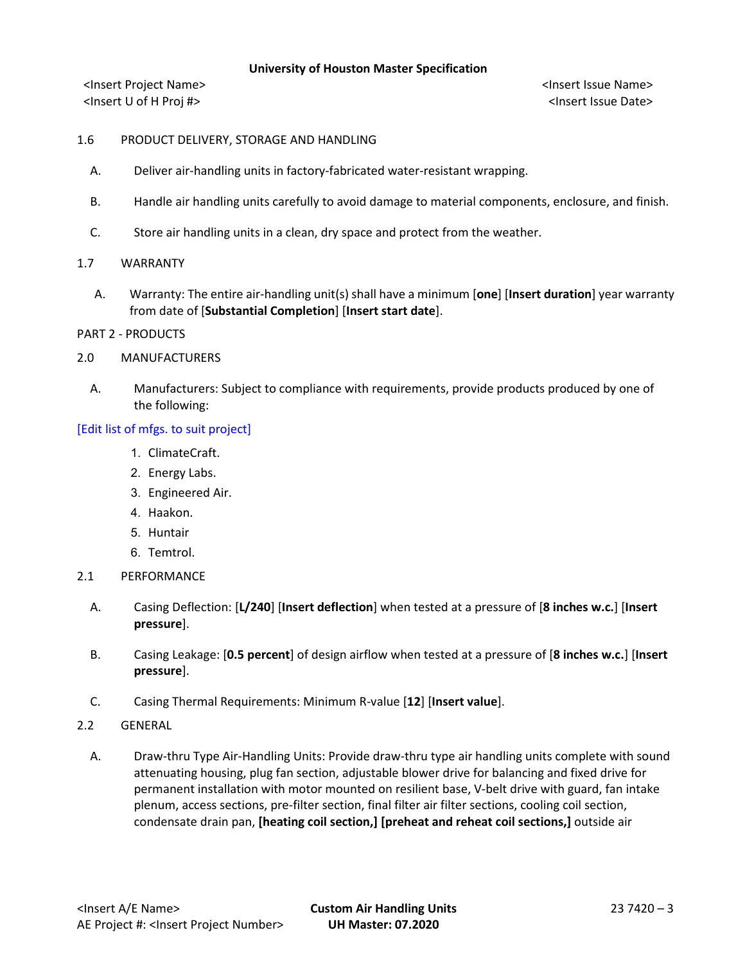<Insert Project Name> <Insert Issue Name> <Insert U of H Proj #> <Insert Issue Date>

### 1.6 PRODUCT DELIVERY, STORAGE AND HANDLING

- A. Deliver air-handling units in factory-fabricated water-resistant wrapping.
- B. Handle air handling units carefully to avoid damage to material components, enclosure, and finish.
- C. Store air handling units in a clean, dry space and protect from the weather.
- 1.7 WARRANTY
	- A. Warranty: The entire air-handling unit(s) shall have a minimum [**one**] [**Insert duration**] year warranty from date of [**Substantial Completion**] [**Insert start date**].
- PART 2 PRODUCTS
- 2.0 MANUFACTURERS
	- A. Manufacturers: Subject to compliance with requirements, provide products produced by one of the following:

### [Edit list of mfgs. to suit project]

- 1. ClimateCraft.
- 2. Energy Labs.
- 3. Engineered Air.
- 4. Haakon.
- 5. Huntair
- 6. Temtrol.
- 2.1 PERFORMANCE
	- A. Casing Deflection: [**L/240**] [**Insert deflection**] when tested at a pressure of [**8 inches w.c.**] [**Insert pressure**].
	- B. Casing Leakage: [**0.5 percent**] of design airflow when tested at a pressure of [**8 inches w.c.**] [**Insert pressure**].
	- C. Casing Thermal Requirements: Minimum R-value [**12**] [**Insert value**].
- 2.2 GENERAL
	- A. Draw-thru Type Air-Handling Units: Provide draw-thru type air handling units complete with sound attenuating housing, plug fan section, adjustable blower drive for balancing and fixed drive for permanent installation with motor mounted on resilient base, V-belt drive with guard, fan intake plenum, access sections, pre-filter section, final filter air filter sections, cooling coil section, condensate drain pan, **[heating coil section,] [preheat and reheat coil sections,]** outside air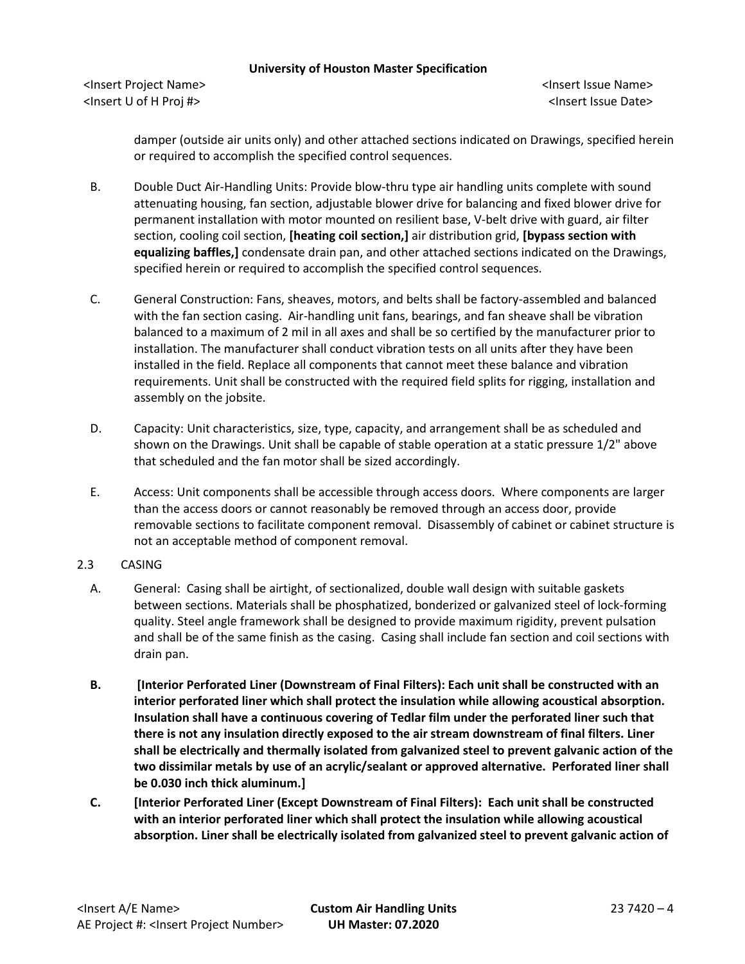<Insert Project Name> <Insert Issue Name> <Insert U of H Proj #> <Insert Issue Date>

damper (outside air units only) and other attached sections indicated on Drawings, specified herein or required to accomplish the specified control sequences.

- B. Double Duct Air-Handling Units: Provide blow-thru type air handling units complete with sound attenuating housing, fan section, adjustable blower drive for balancing and fixed blower drive for permanent installation with motor mounted on resilient base, V-belt drive with guard, air filter section, cooling coil section, **[heating coil section,]** air distribution grid, **[bypass section with equalizing baffles,]** condensate drain pan, and other attached sections indicated on the Drawings, specified herein or required to accomplish the specified control sequences.
- C. General Construction: Fans, sheaves, motors, and belts shall be factory-assembled and balanced with the fan section casing. Air-handling unit fans, bearings, and fan sheave shall be vibration balanced to a maximum of 2 mil in all axes and shall be so certified by the manufacturer prior to installation. The manufacturer shall conduct vibration tests on all units after they have been installed in the field. Replace all components that cannot meet these balance and vibration requirements. Unit shall be constructed with the required field splits for rigging, installation and assembly on the jobsite.
- D. Capacity: Unit characteristics, size, type, capacity, and arrangement shall be as scheduled and shown on the Drawings. Unit shall be capable of stable operation at a static pressure 1/2" above that scheduled and the fan motor shall be sized accordingly.
- E. Access: Unit components shall be accessible through access doors. Where components are larger than the access doors or cannot reasonably be removed through an access door, provide removable sections to facilitate component removal. Disassembly of cabinet or cabinet structure is not an acceptable method of component removal.
- 2.3 CASING
	- A. General: Casing shall be airtight, of sectionalized, double wall design with suitable gaskets between sections. Materials shall be phosphatized, bonderized or galvanized steel of lock-forming quality. Steel angle framework shall be designed to provide maximum rigidity, prevent pulsation and shall be of the same finish as the casing. Casing shall include fan section and coil sections with drain pan.
	- **B. [Interior Perforated Liner (Downstream of Final Filters): Each unit shall be constructed with an interior perforated liner which shall protect the insulation while allowing acoustical absorption. Insulation shall have a continuous covering of Tedlar film under the perforated liner such that there is not any insulation directly exposed to the air stream downstream of final filters. Liner shall be electrically and thermally isolated from galvanized steel to prevent galvanic action of the two dissimilar metals by use of an acrylic/sealant or approved alternative. Perforated liner shall be 0.030 inch thick aluminum.]**
	- **C. [Interior Perforated Liner (Except Downstream of Final Filters): Each unit shall be constructed with an interior perforated liner which shall protect the insulation while allowing acoustical absorption. Liner shall be electrically isolated from galvanized steel to prevent galvanic action of**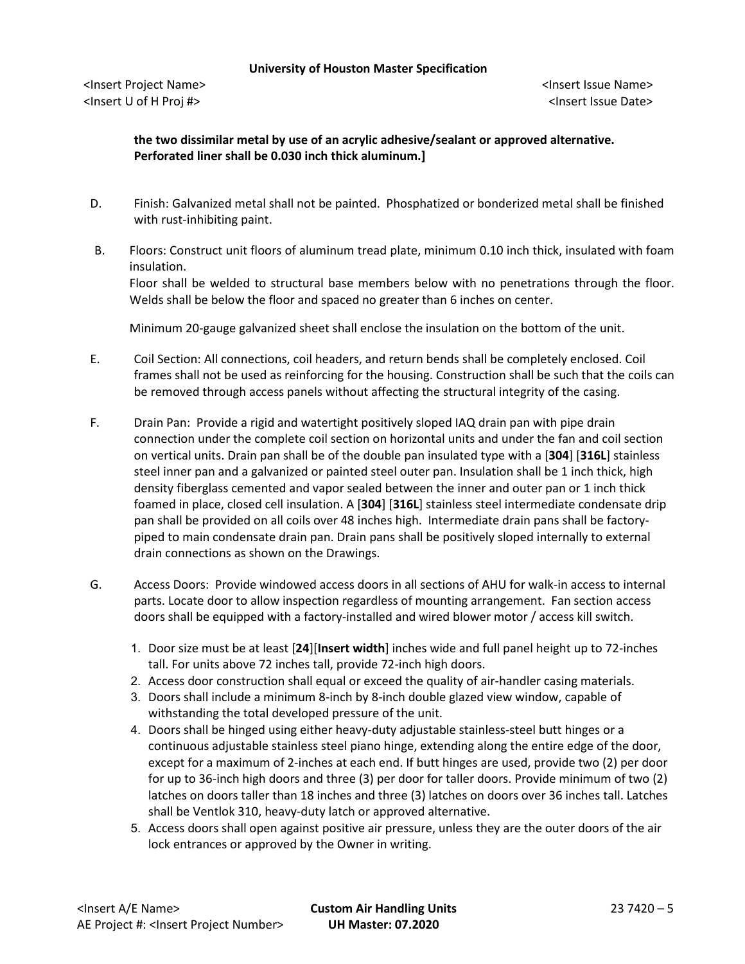# **the two dissimilar metal by use of an acrylic adhesive/sealant or approved alternative. Perforated liner shall be 0.030 inch thick aluminum.]**

- D. Finish: Galvanized metal shall not be painted. Phosphatized or bonderized metal shall be finished with rust-inhibiting paint.
- B. Floors: Construct unit floors of aluminum tread plate, minimum 0.10 inch thick, insulated with foam insulation.

Floor shall be welded to structural base members below with no penetrations through the floor. Welds shall be below the floor and spaced no greater than 6 inches on center.

Minimum 20-gauge galvanized sheet shall enclose the insulation on the bottom of the unit.

- E. Coil Section: All connections, coil headers, and return bends shall be completely enclosed. Coil frames shall not be used as reinforcing for the housing. Construction shall be such that the coils can be removed through access panels without affecting the structural integrity of the casing.
- F. Drain Pan: Provide a rigid and watertight positively sloped IAQ drain pan with pipe drain connection under the complete coil section on horizontal units and under the fan and coil section on vertical units. Drain pan shall be of the double pan insulated type with a [**304**] [**316L**] stainless steel inner pan and a galvanized or painted steel outer pan. Insulation shall be 1 inch thick, high density fiberglass cemented and vapor sealed between the inner and outer pan or 1 inch thick foamed in place, closed cell insulation. A [**304**] [**316L**] stainless steel intermediate condensate drip pan shall be provided on all coils over 48 inches high. Intermediate drain pans shall be factorypiped to main condensate drain pan. Drain pans shall be positively sloped internally to external drain connections as shown on the Drawings.
- G. Access Doors: Provide windowed access doors in all sections of AHU for walk-in access to internal parts. Locate door to allow inspection regardless of mounting arrangement. Fan section access doors shall be equipped with a factory-installed and wired blower motor / access kill switch.
	- 1. Door size must be at least [**24**][**Insert width**] inches wide and full panel height up to 72-inches tall. For units above 72 inches tall, provide 72-inch high doors.
	- 2. Access door construction shall equal or exceed the quality of air-handler casing materials.
	- 3. Doors shall include a minimum 8-inch by 8-inch double glazed view window, capable of withstanding the total developed pressure of the unit.
	- 4. Doors shall be hinged using either heavy-duty adjustable stainless-steel butt hinges or a continuous adjustable stainless steel piano hinge, extending along the entire edge of the door, except for a maximum of 2-inches at each end. If butt hinges are used, provide two (2) per door for up to 36-inch high doors and three (3) per door for taller doors. Provide minimum of two (2) latches on doors taller than 18 inches and three (3) latches on doors over 36 inches tall. Latches shall be Ventlok 310, heavy-duty latch or approved alternative.
	- 5. Access doors shall open against positive air pressure, unless they are the outer doors of the air lock entrances or approved by the Owner in writing.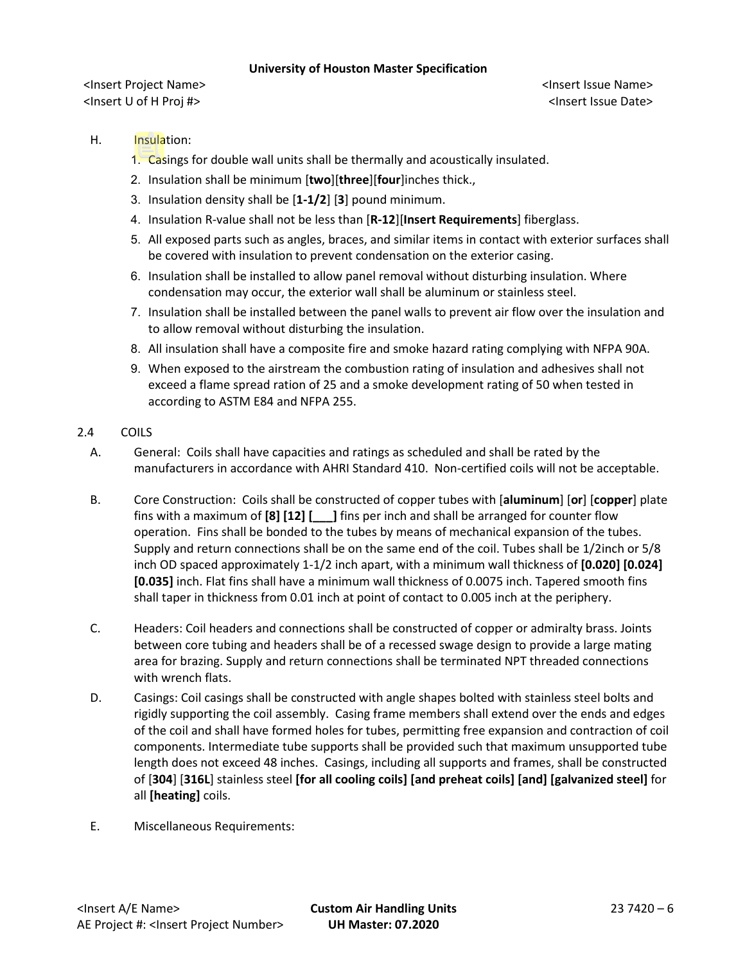<Insert Project Name> <Insert Issue Name> <Insert U of H Proj #> <Insert Issue Date>

# H. Insulation:

- 1. Casings for double wall units shall be thermally and acoustically insulated.
- 2. Insulation shall be minimum [**two**][**three**][**four**]inches thick.,
- 3. Insulation density shall be [**1-1/2**] [**3**] pound minimum.
- 4. Insulation R-value shall not be less than [**R-12**][**Insert Requirements**] fiberglass.
- 5. All exposed parts such as angles, braces, and similar items in contact with exterior surfaces shall be covered with insulation to prevent condensation on the exterior casing.
- 6. Insulation shall be installed to allow panel removal without disturbing insulation. Where condensation may occur, the exterior wall shall be aluminum or stainless steel.
- 7. Insulation shall be installed between the panel walls to prevent air flow over the insulation and to allow removal without disturbing the insulation.
- 8. All insulation shall have a composite fire and smoke hazard rating complying with NFPA 90A.
- 9. When exposed to the airstream the combustion rating of insulation and adhesives shall not exceed a flame spread ration of 25 and a smoke development rating of 50 when tested in according to ASTM E84 and NFPA 255.

### 2.4 COILS

- A. General: Coils shall have capacities and ratings as scheduled and shall be rated by the manufacturers in accordance with AHRI Standard 410. Non-certified coils will not be acceptable.
- B. Core Construction: Coils shall be constructed of copper tubes with [**aluminum**] [**or**] [**copper**] plate fins with a maximum of **[8] [12] [\_\_\_]** fins per inch and shall be arranged for counter flow operation. Fins shall be bonded to the tubes by means of mechanical expansion of the tubes. Supply and return connections shall be on the same end of the coil. Tubes shall be 1/2inch or 5/8 inch OD spaced approximately 1-1/2 inch apart, with a minimum wall thickness of **[0.020] [0.024] [0.035]** inch. Flat fins shall have a minimum wall thickness of 0.0075 inch. Tapered smooth fins shall taper in thickness from 0.01 inch at point of contact to 0.005 inch at the periphery.
- C. Headers: Coil headers and connections shall be constructed of copper or admiralty brass. Joints between core tubing and headers shall be of a recessed swage design to provide a large mating area for brazing. Supply and return connections shall be terminated NPT threaded connections with wrench flats.
- D. Casings: Coil casings shall be constructed with angle shapes bolted with stainless steel bolts and rigidly supporting the coil assembly. Casing frame members shall extend over the ends and edges of the coil and shall have formed holes for tubes, permitting free expansion and contraction of coil components. Intermediate tube supports shall be provided such that maximum unsupported tube length does not exceed 48 inches. Casings, including all supports and frames, shall be constructed of [**304**] [**316L**] stainless steel **[for all cooling coils] [and preheat coils] [and] [galvanized steel]** for all **[heating]** coils.
- E. Miscellaneous Requirements: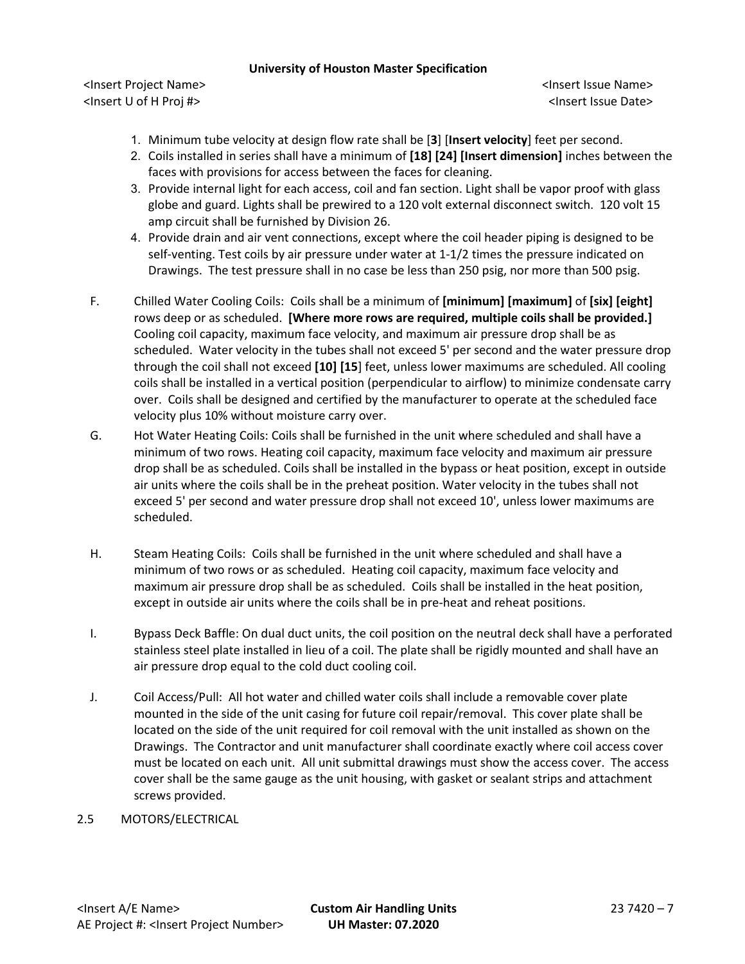<Insert Project Name> <Insert Issue Name> <Insert U of H Proj #> <Insert Issue Date>

- 1. Minimum tube velocity at design flow rate shall be [**3**] [**Insert velocity**] feet per second.
- 2. Coils installed in series shall have a minimum of **[18] [24] [Insert dimension]** inches between the faces with provisions for access between the faces for cleaning.
- 3. Provide internal light for each access, coil and fan section. Light shall be vapor proof with glass globe and guard. Lights shall be prewired to a 120 volt external disconnect switch. 120 volt 15 amp circuit shall be furnished by Division 26.
- 4. Provide drain and air vent connections, except where the coil header piping is designed to be self-venting. Test coils by air pressure under water at 1-1/2 times the pressure indicated on Drawings. The test pressure shall in no case be less than 250 psig, nor more than 500 psig.
- F. Chilled Water Cooling Coils: Coils shall be a minimum of **[minimum] [maximum]** of **[six] [eight]** rows deep or as scheduled. **[Where more rows are required, multiple coils shall be provided.]** Cooling coil capacity, maximum face velocity, and maximum air pressure drop shall be as scheduled. Water velocity in the tubes shall not exceed 5' per second and the water pressure drop through the coil shall not exceed **[10] [15**] feet, unless lower maximums are scheduled. All cooling coils shall be installed in a vertical position (perpendicular to airflow) to minimize condensate carry over. Coils shall be designed and certified by the manufacturer to operate at the scheduled face velocity plus 10% without moisture carry over.
- G. Hot Water Heating Coils: Coils shall be furnished in the unit where scheduled and shall have a minimum of two rows. Heating coil capacity, maximum face velocity and maximum air pressure drop shall be as scheduled. Coils shall be installed in the bypass or heat position, except in outside air units where the coils shall be in the preheat position. Water velocity in the tubes shall not exceed 5' per second and water pressure drop shall not exceed 10', unless lower maximums are scheduled.
- H. Steam Heating Coils: Coils shall be furnished in the unit where scheduled and shall have a minimum of two rows or as scheduled. Heating coil capacity, maximum face velocity and maximum air pressure drop shall be as scheduled. Coils shall be installed in the heat position, except in outside air units where the coils shall be in pre-heat and reheat positions.
- I. Bypass Deck Baffle: On dual duct units, the coil position on the neutral deck shall have a perforated stainless steel plate installed in lieu of a coil. The plate shall be rigidly mounted and shall have an air pressure drop equal to the cold duct cooling coil.
- J. Coil Access/Pull: All hot water and chilled water coils shall include a removable cover plate mounted in the side of the unit casing for future coil repair/removal. This cover plate shall be located on the side of the unit required for coil removal with the unit installed as shown on the Drawings. The Contractor and unit manufacturer shall coordinate exactly where coil access cover must be located on each unit. All unit submittal drawings must show the access cover. The access cover shall be the same gauge as the unit housing, with gasket or sealant strips and attachment screws provided.
- 2.5 MOTORS/ELECTRICAL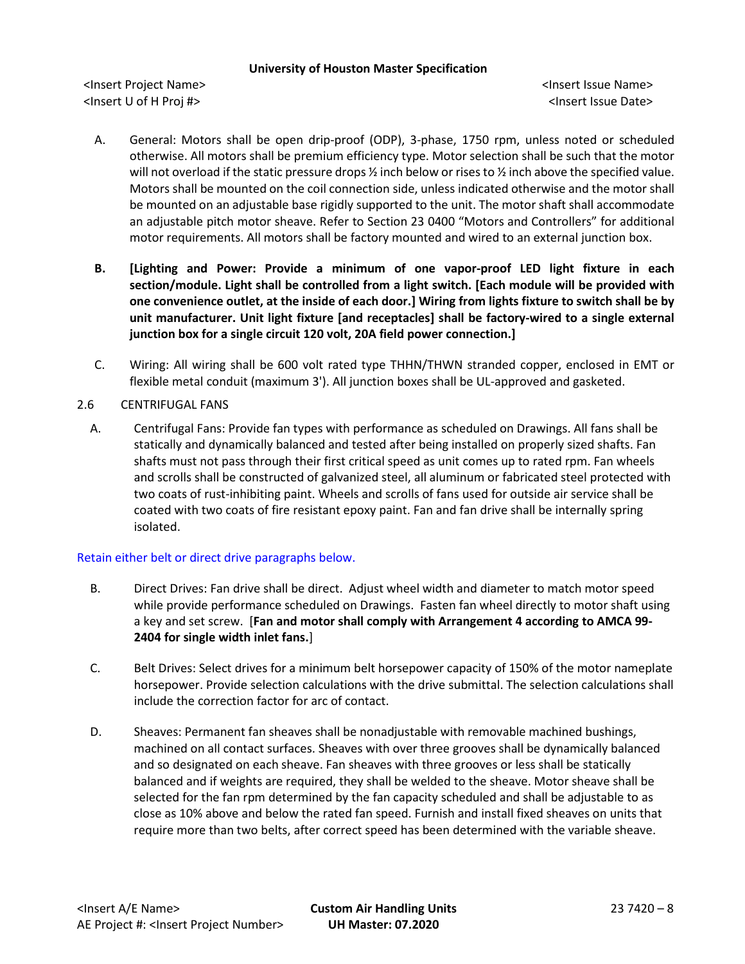<Insert Project Name> <Insert Issue Name> <Insert U of H Proj #> <Insert Issue Date>

- A. General: Motors shall be open drip-proof (ODP), 3-phase, 1750 rpm, unless noted or scheduled otherwise. All motors shall be premium efficiency type. Motor selection shall be such that the motor will not overload if the static pressure drops  $\frac{1}{2}$  inch below or rises to  $\frac{1}{2}$  inch above the specified value. Motors shall be mounted on the coil connection side, unless indicated otherwise and the motor shall be mounted on an adjustable base rigidly supported to the unit. The motor shaft shall accommodate an adjustable pitch motor sheave. Refer to Section 23 0400 "Motors and Controllers" for additional motor requirements. All motors shall be factory mounted and wired to an external junction box.
- **B. [Lighting and Power: Provide a minimum of one vapor-proof LED light fixture in each section/module. Light shall be controlled from a light switch. [Each module will be provided with one convenience outlet, at the inside of each door.] Wiring from lights fixture to switch shall be by unit manufacturer. Unit light fixture [and receptacles] shall be factory-wired to a single external junction box for a single circuit 120 volt, 20A field power connection.]**
- C. Wiring: All wiring shall be 600 volt rated type THHN/THWN stranded copper, enclosed in EMT or flexible metal conduit (maximum 3'). All junction boxes shall be UL-approved and gasketed.
- 2.6 CENTRIFUGAL FANS
	- A. Centrifugal Fans: Provide fan types with performance as scheduled on Drawings. All fans shall be statically and dynamically balanced and tested after being installed on properly sized shafts. Fan shafts must not pass through their first critical speed as unit comes up to rated rpm. Fan wheels and scrolls shall be constructed of galvanized steel, all aluminum or fabricated steel protected with two coats of rust-inhibiting paint. Wheels and scrolls of fans used for outside air service shall be coated with two coats of fire resistant epoxy paint. Fan and fan drive shall be internally spring isolated.

# Retain either belt or direct drive paragraphs below.

- B. Direct Drives: Fan drive shall be direct. Adjust wheel width and diameter to match motor speed while provide performance scheduled on Drawings. Fasten fan wheel directly to motor shaft using a key and set screw. [**Fan and motor shall comply with Arrangement 4 according to AMCA 99- 2404 for single width inlet fans.**]
- C. Belt Drives: Select drives for a minimum belt horsepower capacity of 150% of the motor nameplate horsepower. Provide selection calculations with the drive submittal. The selection calculations shall include the correction factor for arc of contact.
- D. Sheaves: Permanent fan sheaves shall be nonadjustable with removable machined bushings, machined on all contact surfaces. Sheaves with over three grooves shall be dynamically balanced and so designated on each sheave. Fan sheaves with three grooves or less shall be statically balanced and if weights are required, they shall be welded to the sheave. Motor sheave shall be selected for the fan rpm determined by the fan capacity scheduled and shall be adjustable to as close as 10% above and below the rated fan speed. Furnish and install fixed sheaves on units that require more than two belts, after correct speed has been determined with the variable sheave.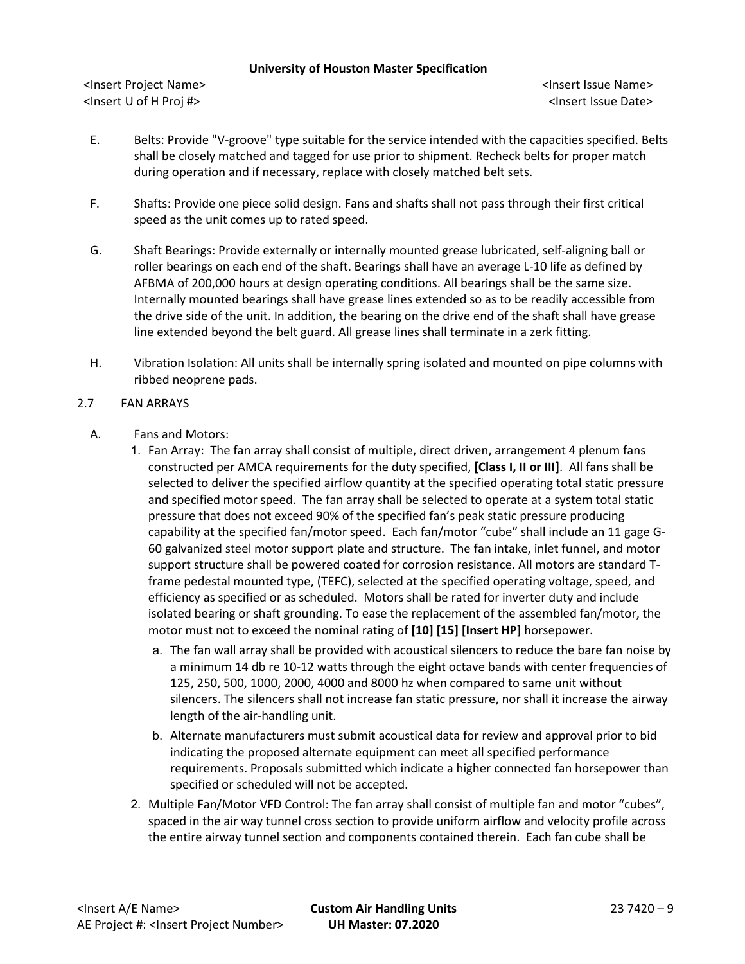<Insert Project Name> <Insert Issue Name> <Insert U of H Proj #> <Insert Issue Date>

- E. Belts: Provide "V-groove" type suitable for the service intended with the capacities specified. Belts shall be closely matched and tagged for use prior to shipment. Recheck belts for proper match during operation and if necessary, replace with closely matched belt sets.
- F. Shafts: Provide one piece solid design. Fans and shafts shall not pass through their first critical speed as the unit comes up to rated speed.
- G. Shaft Bearings: Provide externally or internally mounted grease lubricated, self-aligning ball or roller bearings on each end of the shaft. Bearings shall have an average L-10 life as defined by AFBMA of 200,000 hours at design operating conditions. All bearings shall be the same size. Internally mounted bearings shall have grease lines extended so as to be readily accessible from the drive side of the unit. In addition, the bearing on the drive end of the shaft shall have grease line extended beyond the belt guard. All grease lines shall terminate in a zerk fitting.
- H. Vibration Isolation: All units shall be internally spring isolated and mounted on pipe columns with ribbed neoprene pads.
- 2.7 FAN ARRAYS
	- A. Fans and Motors:
		- 1. Fan Array: The fan array shall consist of multiple, direct driven, arrangement 4 plenum fans constructed per AMCA requirements for the duty specified, **[Class I, II or III]**. All fans shall be selected to deliver the specified airflow quantity at the specified operating total static pressure and specified motor speed. The fan array shall be selected to operate at a system total static pressure that does not exceed 90% of the specified fan's peak static pressure producing capability at the specified fan/motor speed. Each fan/motor "cube" shall include an 11 gage G-60 galvanized steel motor support plate and structure. The fan intake, inlet funnel, and motor support structure shall be powered coated for corrosion resistance. All motors are standard Tframe pedestal mounted type, (TEFC), selected at the specified operating voltage, speed, and efficiency as specified or as scheduled. Motors shall be rated for inverter duty and include isolated bearing or shaft grounding. To ease the replacement of the assembled fan/motor, the motor must not to exceed the nominal rating of **[10] [15] [Insert HP]** horsepower.
			- a. The fan wall array shall be provided with acoustical silencers to reduce the bare fan noise by a minimum 14 db re 10-12 watts through the eight octave bands with center frequencies of 125, 250, 500, 1000, 2000, 4000 and 8000 hz when compared to same unit without silencers. The silencers shall not increase fan static pressure, nor shall it increase the airway length of the air-handling unit.
			- b. Alternate manufacturers must submit acoustical data for review and approval prior to bid indicating the proposed alternate equipment can meet all specified performance requirements. Proposals submitted which indicate a higher connected fan horsepower than specified or scheduled will not be accepted.
		- 2. Multiple Fan/Motor VFD Control: The fan array shall consist of multiple fan and motor "cubes", spaced in the air way tunnel cross section to provide uniform airflow and velocity profile across the entire airway tunnel section and components contained therein. Each fan cube shall be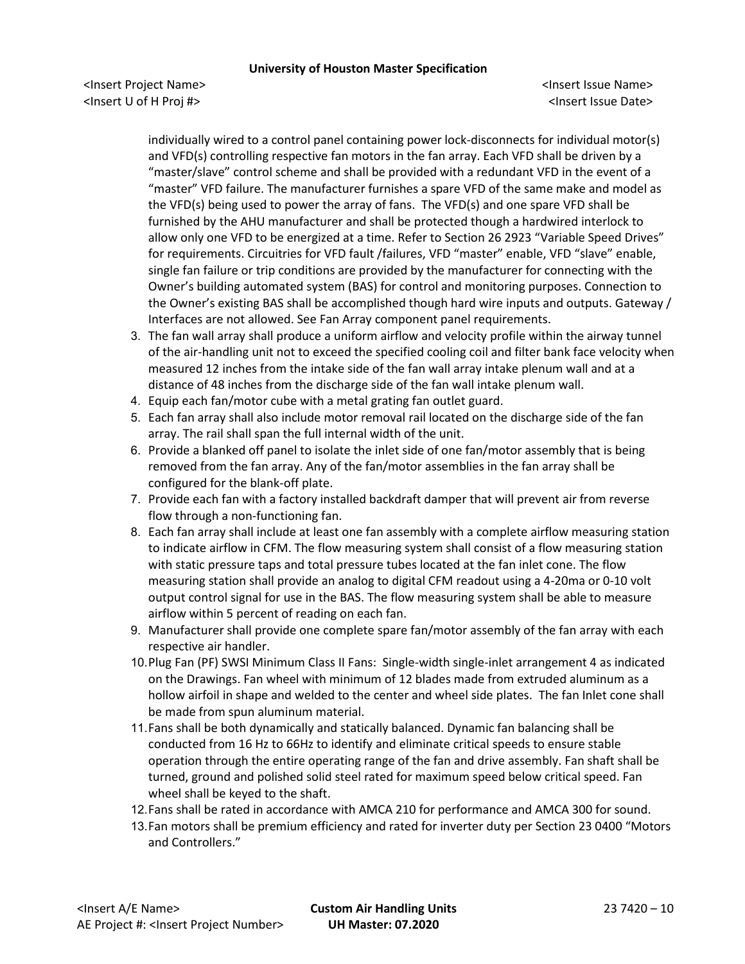<Insert Project Name> <Insert Issue Name> <Insert U of H Proj #> <Insert Issue Date>

individually wired to a control panel containing power lock-disconnects for individual motor(s) and VFD(s) controlling respective fan motors in the fan array. Each VFD shall be driven by a "master/slave" control scheme and shall be provided with a redundant VFD in the event of a "master" VFD failure. The manufacturer furnishes a spare VFD of the same make and model as the VFD(s) being used to power the array of fans. The VFD(s) and one spare VFD shall be furnished by the AHU manufacturer and shall be protected though a hardwired interlock to allow only one VFD to be energized at a time. Refer to Section 26 2923 "Variable Speed Drives" for requirements. Circuitries for VFD fault /failures, VFD "master" enable, VFD "slave" enable, single fan failure or trip conditions are provided by the manufacturer for connecting with the Owner's building automated system (BAS) for control and monitoring purposes. Connection to the Owner's existing BAS shall be accomplished though hard wire inputs and outputs. Gateway / Interfaces are not allowed. See Fan Array component panel requirements.

- 3. The fan wall array shall produce a uniform airflow and velocity profile within the airway tunnel of the air-handling unit not to exceed the specified cooling coil and filter bank face velocity when measured 12 inches from the intake side of the fan wall array intake plenum wall and at a distance of 48 inches from the discharge side of the fan wall intake plenum wall.
- 4. Equip each fan/motor cube with a metal grating fan outlet guard.
- 5. Each fan array shall also include motor removal rail located on the discharge side of the fan array. The rail shall span the full internal width of the unit.
- 6. Provide a blanked off panel to isolate the inlet side of one fan/motor assembly that is being removed from the fan array. Any of the fan/motor assemblies in the fan array shall be configured for the blank-off plate.
- 7. Provide each fan with a factory installed backdraft damper that will prevent air from reverse flow through a non-functioning fan.
- 8. Each fan array shall include at least one fan assembly with a complete airflow measuring station to indicate airflow in CFM. The flow measuring system shall consist of a flow measuring station with static pressure taps and total pressure tubes located at the fan inlet cone. The flow measuring station shall provide an analog to digital CFM readout using a 4-20ma or 0-10 volt output control signal for use in the BAS. The flow measuring system shall be able to measure airflow within 5 percent of reading on each fan.
- 9. Manufacturer shall provide one complete spare fan/motor assembly of the fan array with each respective air handler.
- 10.Plug Fan (PF) SWSI Minimum Class II Fans: Single-width single-inlet arrangement 4 as indicated on the Drawings. Fan wheel with minimum of 12 blades made from extruded aluminum as a hollow airfoil in shape and welded to the center and wheel side plates. The fan Inlet cone shall be made from spun aluminum material.
- 11.Fans shall be both dynamically and statically balanced. Dynamic fan balancing shall be conducted from 16 Hz to 66Hz to identify and eliminate critical speeds to ensure stable operation through the entire operating range of the fan and drive assembly. Fan shaft shall be turned, ground and polished solid steel rated for maximum speed below critical speed. Fan wheel shall be keyed to the shaft.
- 12.Fans shall be rated in accordance with AMCA 210 for performance and AMCA 300 for sound.
- 13.Fan motors shall be premium efficiency and rated for inverter duty per Section 23 0400 "Motors and Controllers."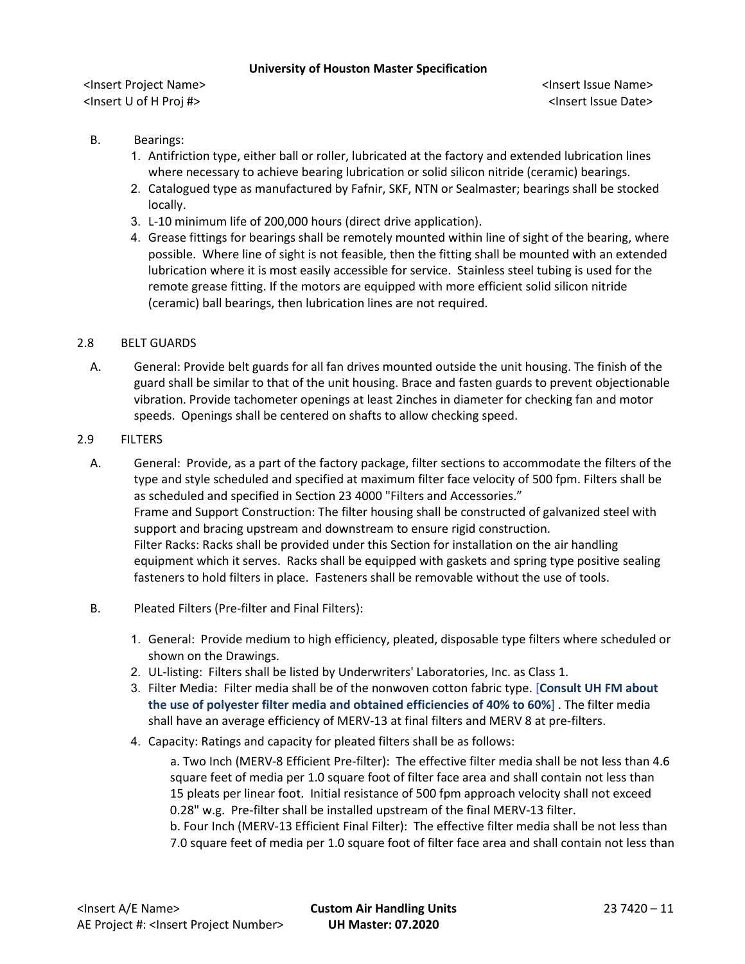<Insert Project Name> <Insert Issue Name> <Insert U of H Proj #> <Insert Issue Date>

- B. Bearings:
	- 1. Antifriction type, either ball or roller, lubricated at the factory and extended lubrication lines where necessary to achieve bearing lubrication or solid silicon nitride (ceramic) bearings.
	- 2. Catalogued type as manufactured by Fafnir, SKF, NTN or Sealmaster; bearings shall be stocked locally.
	- 3. L-10 minimum life of 200,000 hours (direct drive application).
	- 4. Grease fittings for bearings shall be remotely mounted within line of sight of the bearing, where possible. Where line of sight is not feasible, then the fitting shall be mounted with an extended lubrication where it is most easily accessible for service. Stainless steel tubing is used for the remote grease fitting. If the motors are equipped with more efficient solid silicon nitride (ceramic) ball bearings, then lubrication lines are not required.

# 2.8 BELT GUARDS

A. General: Provide belt guards for all fan drives mounted outside the unit housing. The finish of the guard shall be similar to that of the unit housing. Brace and fasten guards to prevent objectionable vibration. Provide tachometer openings at least 2inches in diameter for checking fan and motor speeds. Openings shall be centered on shafts to allow checking speed.

### 2.9 FILTERS

- A. General: Provide, as a part of the factory package, filter sections to accommodate the filters of the type and style scheduled and specified at maximum filter face velocity of 500 fpm. Filters shall be as scheduled and specified in Section 23 4000 "Filters and Accessories." Frame and Support Construction: The filter housing shall be constructed of galvanized steel with support and bracing upstream and downstream to ensure rigid construction. Filter Racks: Racks shall be provided under this Section for installation on the air handling equipment which it serves. Racks shall be equipped with gaskets and spring type positive sealing fasteners to hold filters in place. Fasteners shall be removable without the use of tools.
- B. Pleated Filters (Pre-filter and Final Filters):
	- 1. General: Provide medium to high efficiency, pleated, disposable type filters where scheduled or shown on the Drawings.
	- 2. UL-listing: Filters shall be listed by Underwriters' Laboratories, Inc. as Class 1.
	- 3. Filter Media: Filter media shall be of the nonwoven cotton fabric type. [**Consult UH FM about the use of polyester filter media and obtained efficiencies of 40% to 60%**] . The filter media shall have an average efficiency of MERV-13 at final filters and MERV 8 at pre-filters.
	- 4. Capacity: Ratings and capacity for pleated filters shall be as follows:

a. Two Inch (MERV-8 Efficient Pre-filter): The effective filter media shall be not less than 4.6 square feet of media per 1.0 square foot of filter face area and shall contain not less than 15 pleats per linear foot. Initial resistance of 500 fpm approach velocity shall not exceed 0.28" w.g. Pre-filter shall be installed upstream of the final MERV-13 filter. b. Four Inch (MERV-13 Efficient Final Filter): The effective filter media shall be not less than

7.0 square feet of media per 1.0 square foot of filter face area and shall contain not less than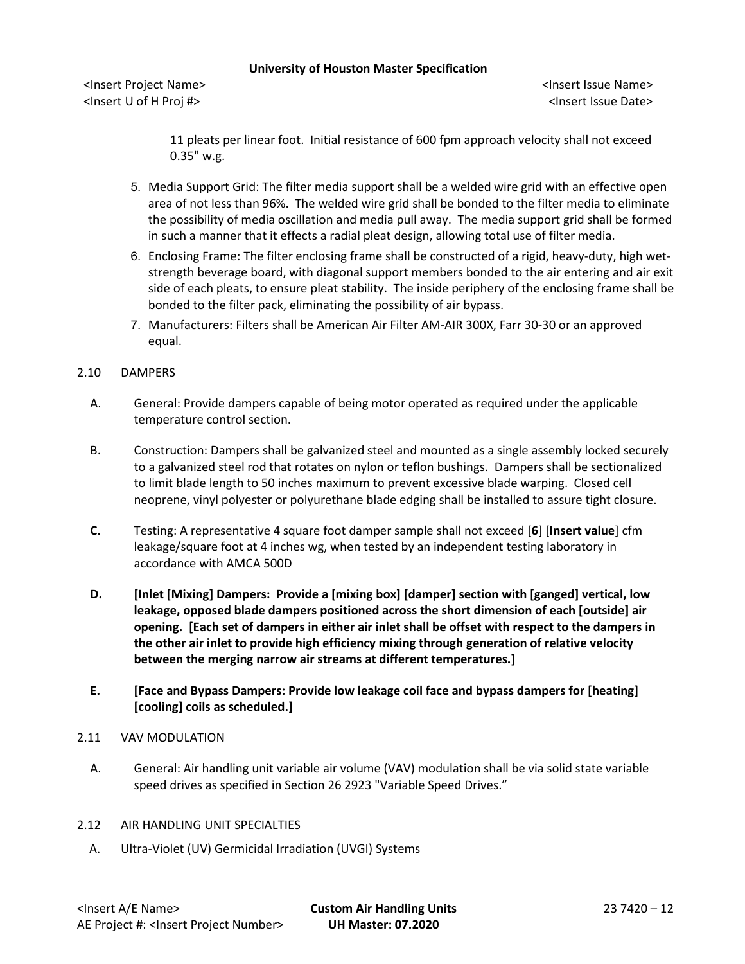<Insert Project Name> <Insert Issue Name> <Insert U of H Proj #> <Insert Issue Date>

11 pleats per linear foot. Initial resistance of 600 fpm approach velocity shall not exceed 0.35" w.g.

- 5. Media Support Grid: The filter media support shall be a welded wire grid with an effective open area of not less than 96%. The welded wire grid shall be bonded to the filter media to eliminate the possibility of media oscillation and media pull away. The media support grid shall be formed in such a manner that it effects a radial pleat design, allowing total use of filter media.
- 6. Enclosing Frame: The filter enclosing frame shall be constructed of a rigid, heavy-duty, high wetstrength beverage board, with diagonal support members bonded to the air entering and air exit side of each pleats, to ensure pleat stability. The inside periphery of the enclosing frame shall be bonded to the filter pack, eliminating the possibility of air bypass.
- 7. Manufacturers: Filters shall be American Air Filter AM-AIR 300X, Farr 30-30 or an approved equal.

# 2.10 DAMPERS

- A. General: Provide dampers capable of being motor operated as required under the applicable temperature control section.
- B. Construction: Dampers shall be galvanized steel and mounted as a single assembly locked securely to a galvanized steel rod that rotates on nylon or teflon bushings. Dampers shall be sectionalized to limit blade length to 50 inches maximum to prevent excessive blade warping. Closed cell neoprene, vinyl polyester or polyurethane blade edging shall be installed to assure tight closure.
- **C.** Testing: A representative 4 square foot damper sample shall not exceed [**6**] [**Insert value**] cfm leakage/square foot at 4 inches wg, when tested by an independent testing laboratory in accordance with AMCA 500D
- **D. [Inlet [Mixing] Dampers: Provide a [mixing box] [damper] section with [ganged] vertical, low leakage, opposed blade dampers positioned across the short dimension of each [outside] air opening. [Each set of dampers in either air inlet shall be offset with respect to the dampers in the other air inlet to provide high efficiency mixing through generation of relative velocity between the merging narrow air streams at different temperatures.]**
- **E. [Face and Bypass Dampers: Provide low leakage coil face and bypass dampers for [heating] [cooling] coils as scheduled.]**

### 2.11 VAV MODULATION

- A. General: Air handling unit variable air volume (VAV) modulation shall be via solid state variable speed drives as specified in Section 26 2923 "Variable Speed Drives."
- 2.12 AIR HANDLING UNIT SPECIALTIES
	- A. Ultra-Violet (UV) Germicidal Irradiation (UVGI) Systems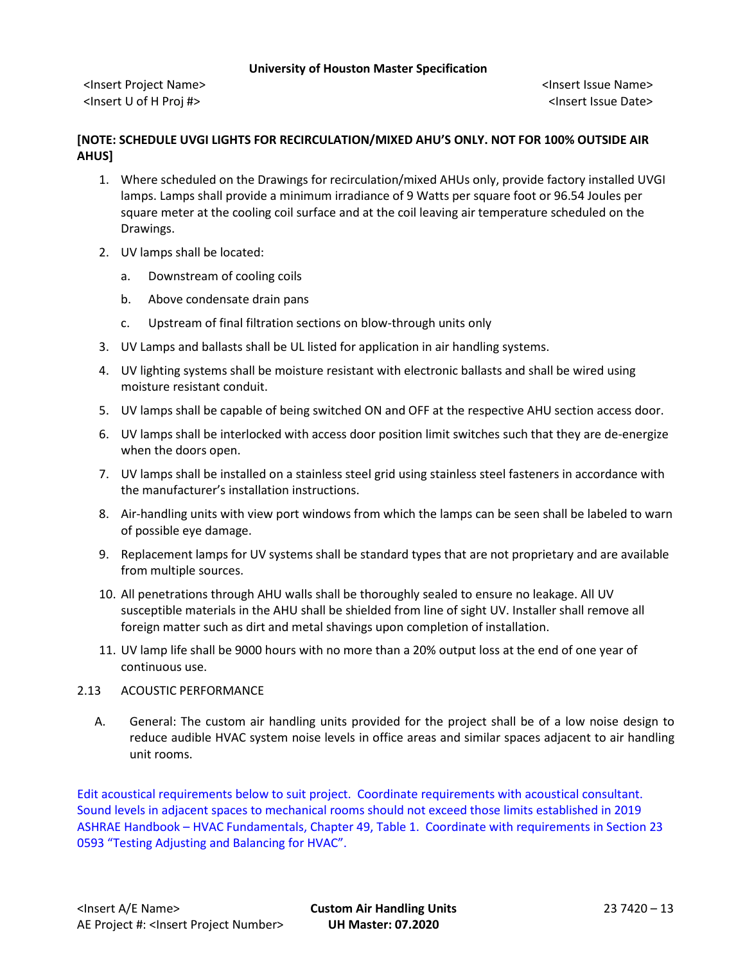<Insert Project Name> <Insert Issue Name> <Insert U of H Proj #> <Insert Issue Date>

# **[NOTE: SCHEDULE UVGI LIGHTS FOR RECIRCULATION/MIXED AHU'S ONLY. NOT FOR 100% OUTSIDE AIR AHUS]**

- 1. Where scheduled on the Drawings for recirculation/mixed AHUs only, provide factory installed UVGI lamps. Lamps shall provide a minimum irradiance of 9 Watts per square foot or 96.54 Joules per square meter at the cooling coil surface and at the coil leaving air temperature scheduled on the Drawings.
- 2. UV lamps shall be located:
	- a. Downstream of cooling coils
	- b. Above condensate drain pans
	- c. Upstream of final filtration sections on blow-through units only
- 3. UV Lamps and ballasts shall be UL listed for application in air handling systems.
- 4. UV lighting systems shall be moisture resistant with electronic ballasts and shall be wired using moisture resistant conduit.
- 5. UV lamps shall be capable of being switched ON and OFF at the respective AHU section access door.
- 6. UV lamps shall be interlocked with access door position limit switches such that they are de-energize when the doors open.
- 7. UV lamps shall be installed on a stainless steel grid using stainless steel fasteners in accordance with the manufacturer's installation instructions.
- 8. Air-handling units with view port windows from which the lamps can be seen shall be labeled to warn of possible eye damage.
- 9. Replacement lamps for UV systems shall be standard types that are not proprietary and are available from multiple sources.
- 10. All penetrations through AHU walls shall be thoroughly sealed to ensure no leakage. All UV susceptible materials in the AHU shall be shielded from line of sight UV. Installer shall remove all foreign matter such as dirt and metal shavings upon completion of installation.
- 11. UV lamp life shall be 9000 hours with no more than a 20% output loss at the end of one year of continuous use.

# 2.13 ACOUSTIC PERFORMANCE

A. General: The custom air handling units provided for the project shall be of a low noise design to reduce audible HVAC system noise levels in office areas and similar spaces adjacent to air handling unit rooms.

Edit acoustical requirements below to suit project. Coordinate requirements with acoustical consultant. Sound levels in adjacent spaces to mechanical rooms should not exceed those limits established in 2019 ASHRAE Handbook – HVAC Fundamentals, Chapter 49, Table 1. Coordinate with requirements in Section 23 0593 "Testing Adjusting and Balancing for HVAC".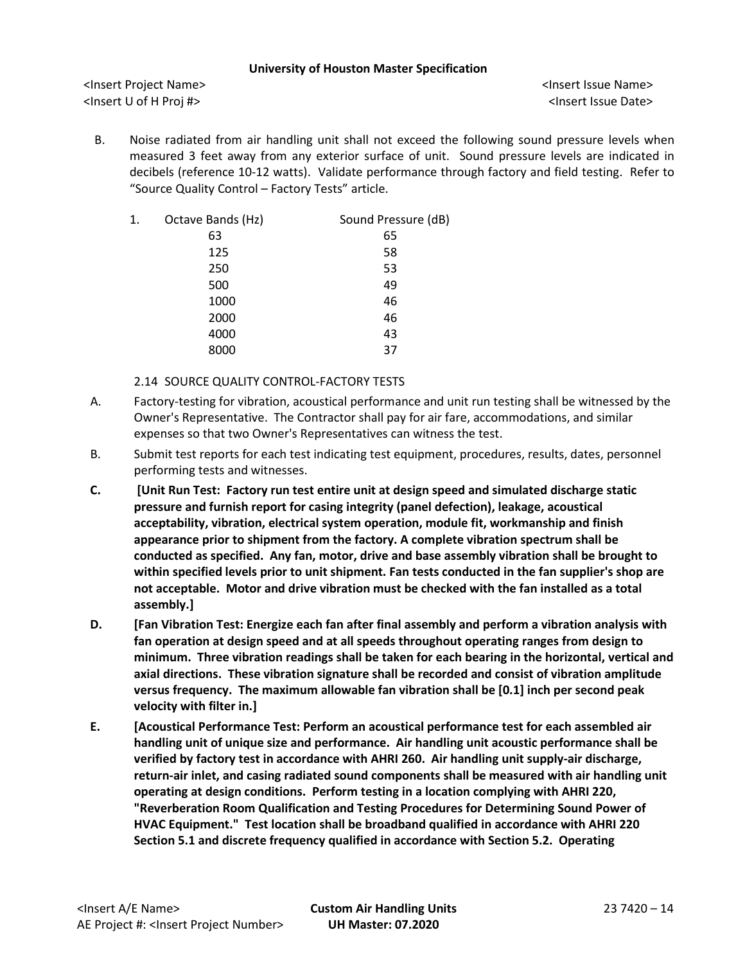<Insert Project Name> <Insert Issue Name> <Insert U of H Proj #> <Insert Issue Date>

B. Noise radiated from air handling unit shall not exceed the following sound pressure levels when measured 3 feet away from any exterior surface of unit. Sound pressure levels are indicated in decibels (reference 10-12 watts). Validate performance through factory and field testing. Refer to "Source Quality Control – Factory Tests" article.

| 1. | Octave Bands (Hz) | Sound Pressure (dB) |
|----|-------------------|---------------------|
|    | 63                | 65                  |
|    | 125               | 58                  |
|    | 250               | 53                  |
|    | 500               | 49                  |
|    | 1000              | 46                  |
|    | 2000              | 46                  |
|    | 4000              | 43                  |
|    | 8000              | 37                  |
|    |                   |                     |

2.14 SOURCE QUALITY CONTROL-FACTORY TESTS

- A. Factory-testing for vibration, acoustical performance and unit run testing shall be witnessed by the Owner's Representative. The Contractor shall pay for air fare, accommodations, and similar expenses so that two Owner's Representatives can witness the test.
- B. Submit test reports for each test indicating test equipment, procedures, results, dates, personnel performing tests and witnesses.
- **C. [Unit Run Test: Factory run test entire unit at design speed and simulated discharge static pressure and furnish report for casing integrity (panel defection), leakage, acoustical acceptability, vibration, electrical system operation, module fit, workmanship and finish appearance prior to shipment from the factory. A complete vibration spectrum shall be conducted as specified. Any fan, motor, drive and base assembly vibration shall be brought to within specified levels prior to unit shipment. Fan tests conducted in the fan supplier's shop are not acceptable. Motor and drive vibration must be checked with the fan installed as a total assembly.]**
- **D. [Fan Vibration Test: Energize each fan after final assembly and perform a vibration analysis with fan operation at design speed and at all speeds throughout operating ranges from design to minimum. Three vibration readings shall be taken for each bearing in the horizontal, vertical and axial directions. These vibration signature shall be recorded and consist of vibration amplitude versus frequency. The maximum allowable fan vibration shall be [0.1] inch per second peak velocity with filter in.]**
- **E. [Acoustical Performance Test: Perform an acoustical performance test for each assembled air handling unit of unique size and performance. Air handling unit acoustic performance shall be verified by factory test in accordance with AHRI 260. Air handling unit supply-air discharge, return-air inlet, and casing radiated sound components shall be measured with air handling unit operating at design conditions. Perform testing in a location complying with AHRI 220, "Reverberation Room Qualification and Testing Procedures for Determining Sound Power of HVAC Equipment." Test location shall be broadband qualified in accordance with AHRI 220 Section 5.1 and discrete frequency qualified in accordance with Section 5.2. Operating**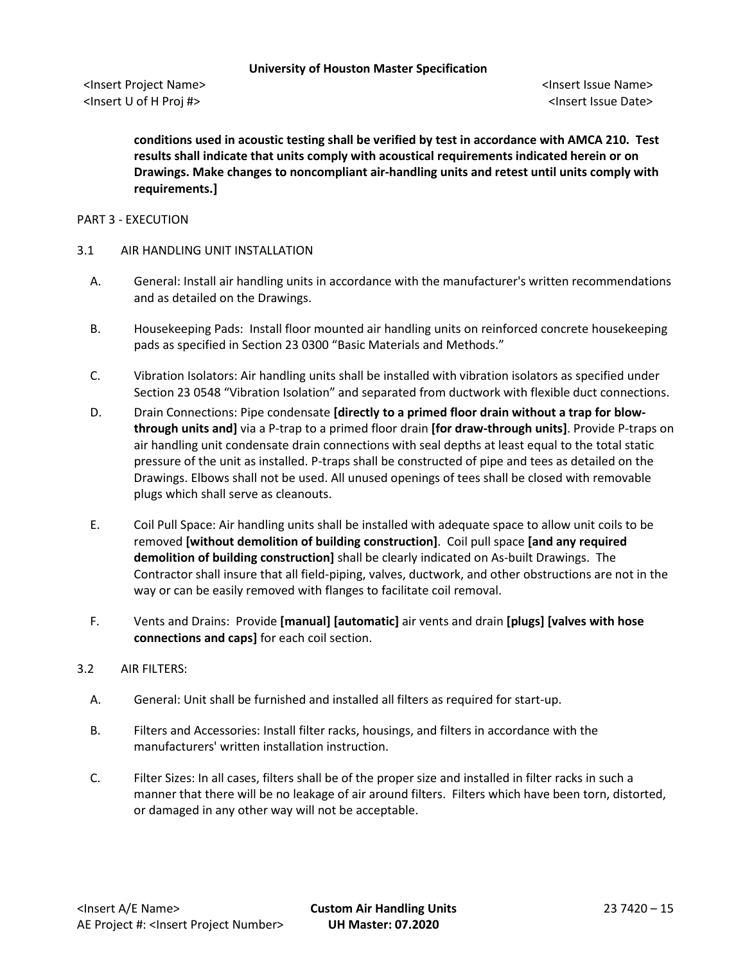**conditions used in acoustic testing shall be verified by test in accordance with AMCA 210. Test results shall indicate that units comply with acoustical requirements indicated herein or on Drawings. Make changes to noncompliant air-handling units and retest until units comply with requirements.]**

### PART 3 - EXECUTION

### 3.1 AIR HANDLING UNIT INSTALLATION

- A. General: Install air handling units in accordance with the manufacturer's written recommendations and as detailed on the Drawings.
- B. Housekeeping Pads: Install floor mounted air handling units on reinforced concrete housekeeping pads as specified in Section 23 0300 "Basic Materials and Methods."
- C. Vibration Isolators: Air handling units shall be installed with vibration isolators as specified under Section 23 0548 "Vibration Isolation" and separated from ductwork with flexible duct connections.
- D. Drain Connections: Pipe condensate **[directly to a primed floor drain without a trap for blowthrough units and]** via a P-trap to a primed floor drain **[for draw-through units]**. Provide P-traps on air handling unit condensate drain connections with seal depths at least equal to the total static pressure of the unit as installed. P-traps shall be constructed of pipe and tees as detailed on the Drawings. Elbows shall not be used. All unused openings of tees shall be closed with removable plugs which shall serve as cleanouts.
- E. Coil Pull Space: Air handling units shall be installed with adequate space to allow unit coils to be removed **[without demolition of building construction]**. Coil pull space **[and any required demolition of building construction]** shall be clearly indicated on As-built Drawings. The Contractor shall insure that all field-piping, valves, ductwork, and other obstructions are not in the way or can be easily removed with flanges to facilitate coil removal.
- F. Vents and Drains: Provide **[manual] [automatic]** air vents and drain **[plugs] [valves with hose connections and caps]** for each coil section.

### 3.2 AIR FILTERS:

- A. General: Unit shall be furnished and installed all filters as required for start-up.
- B. Filters and Accessories: Install filter racks, housings, and filters in accordance with the manufacturers' written installation instruction.
- C. Filter Sizes: In all cases, filters shall be of the proper size and installed in filter racks in such a manner that there will be no leakage of air around filters. Filters which have been torn, distorted, or damaged in any other way will not be acceptable.